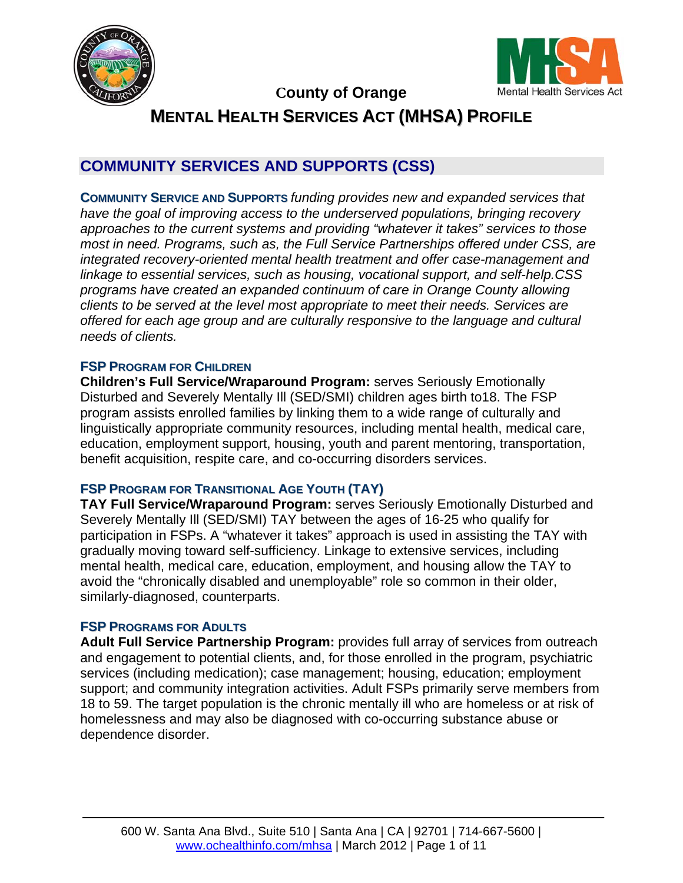



## **County of Orange**

**MENTAL HEALTH SERVICES ACT (MHSA) PROFILE**

# **COMMUNITY SERVICES AND SUPPORTS (CSS)**

**COMMUNITY SERVICE AND SUPPORTS** *funding provides new and expanded services that have the goal of improving access to the underserved populations, bringing recovery approaches to the current systems and providing "whatever it takes" services to those most in need. Programs, such as, the Full Service Partnerships offered under CSS, are integrated recovery-oriented mental health treatment and offer case-management and linkage to essential services, such as housing, vocational support, and self-help.CSS programs have created an expanded continuum of care in Orange County allowing clients to be served at the level most appropriate to meet their needs. Services are offered for each age group and are culturally responsive to the language and cultural needs of clients.* 

#### **FSP PROGRAM FOR CHILDREN**

**Children's Full Service/Wraparound Program:** serves Seriously Emotionally Disturbed and Severely Mentally Ill (SED/SMI) children ages birth to18. The FSP program assists enrolled families by linking them to a wide range of culturally and linguistically appropriate community resources, including mental health, medical care, education, employment support, housing, youth and parent mentoring, transportation, benefit acquisition, respite care, and co-occurring disorders services.

#### **FSP PROGRAM FOR TRANSITIONAL AGE YOUTH (TAY)**

**TAY Full Service/Wraparound Program:** serves Seriously Emotionally Disturbed and Severely Mentally Ill (SED/SMI) TAY between the ages of 16-25 who qualify for participation in FSPs. A "whatever it takes" approach is used in assisting the TAY with gradually moving toward self-sufficiency. Linkage to extensive services, including mental health, medical care, education, employment, and housing allow the TAY to avoid the "chronically disabled and unemployable" role so common in their older, similarly-diagnosed, counterparts.

#### **FSP PROGRAMS FOR ADULTS**

**Adult Full Service Partnership Program:** provides full array of services from outreach and engagement to potential clients, and, for those enrolled in the program, psychiatric services (including medication); case management; housing, education; employment support; and community integration activities. Adult FSPs primarily serve members from 18 to 59. The target population is the chronic mentally ill who are homeless or at risk of homelessness and may also be diagnosed with co-occurring substance abuse or dependence disorder.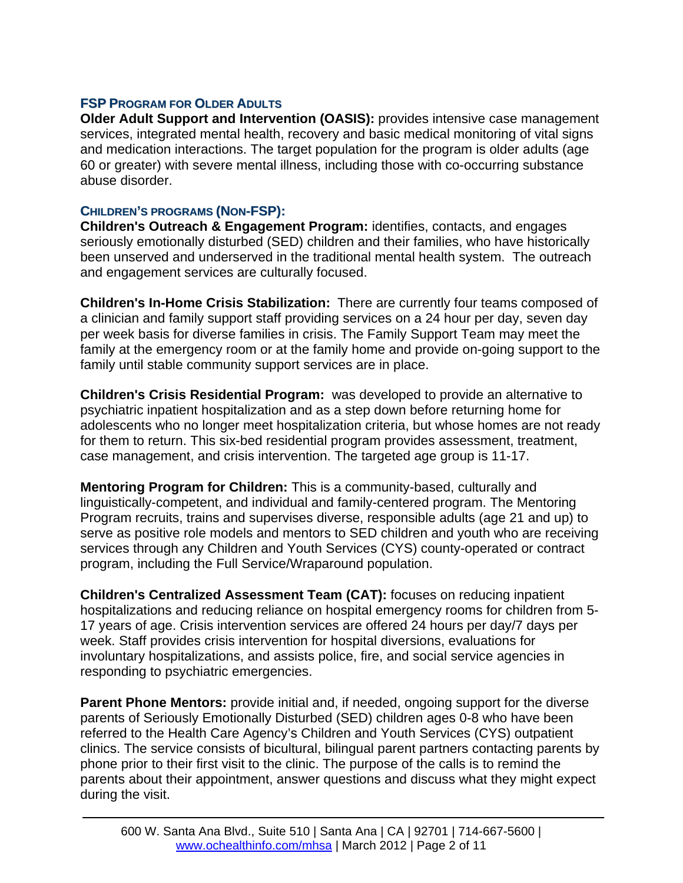#### **FSP PROGRAM FOR OLDER ADULTS**

**Older Adult Support and Intervention (OASIS):** provides intensive case management services, integrated mental health, recovery and basic medical monitoring of vital signs and medication interactions. The target population for the program is older adults (age 60 or greater) with severe mental illness, including those with co-occurring substance abuse disorder.

#### **CHILDREN'S PROGRAMS (NON-FSP):**

**Children's Outreach & Engagement Program:** identifies, contacts, and engages seriously emotionally disturbed (SED) children and their families, who have historically been unserved and underserved in the traditional mental health system. The outreach and engagement services are culturally focused.

**Children's In-Home Crisis Stabilization:** There are currently four teams composed of a clinician and family support staff providing services on a 24 hour per day, seven day per week basis for diverse families in crisis. The Family Support Team may meet the family at the emergency room or at the family home and provide on-going support to the family until stable community support services are in place.

**Children's Crisis Residential Program:** was developed to provide an alternative to psychiatric inpatient hospitalization and as a step down before returning home for adolescents who no longer meet hospitalization criteria, but whose homes are not ready for them to return. This six-bed residential program provides assessment, treatment, case management, and crisis intervention. The targeted age group is 11-17.

**Mentoring Program for Children:** This is a community-based, culturally and linguistically-competent, and individual and family-centered program. The Mentoring Program recruits, trains and supervises diverse, responsible adults (age 21 and up) to serve as positive role models and mentors to SED children and youth who are receiving services through any Children and Youth Services (CYS) county-operated or contract program, including the Full Service/Wraparound population.

**Children's Centralized Assessment Team (CAT):** focuses on reducing inpatient hospitalizations and reducing reliance on hospital emergency rooms for children from 5- 17 years of age. Crisis intervention services are offered 24 hours per day/7 days per week. Staff provides crisis intervention for hospital diversions, evaluations for involuntary hospitalizations, and assists police, fire, and social service agencies in responding to psychiatric emergencies.

**Parent Phone Mentors:** provide initial and, if needed, ongoing support for the diverse parents of Seriously Emotionally Disturbed (SED) children ages 0-8 who have been referred to the Health Care Agency's Children and Youth Services (CYS) outpatient clinics. The service consists of bicultural, bilingual parent partners contacting parents by phone prior to their first visit to the clinic. The purpose of the calls is to remind the parents about their appointment, answer questions and discuss what they might expect during the visit.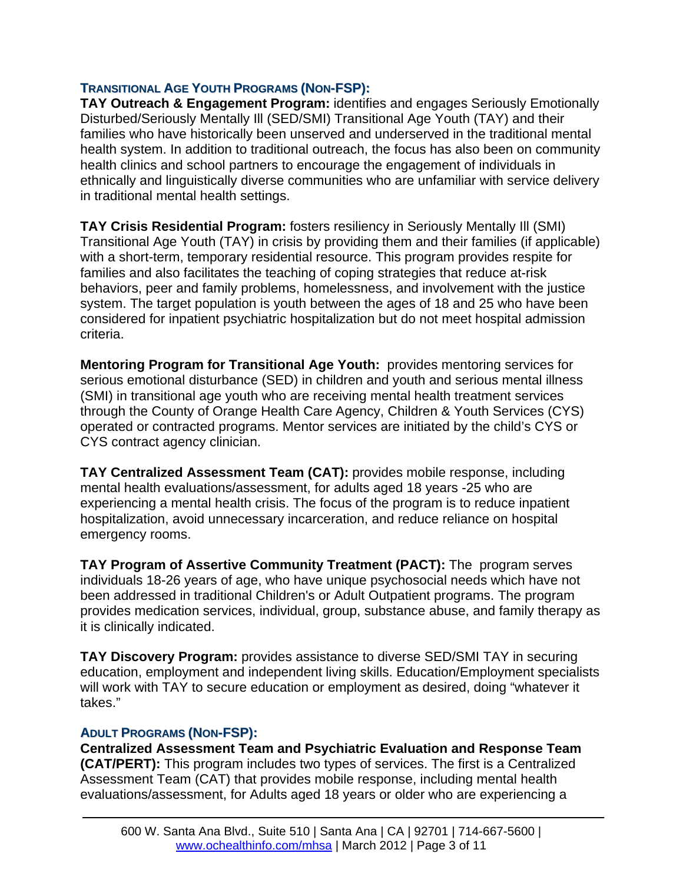#### **TRANSITIONAL AGE YOUTH PROGRAMS (NON-FSP):**

**TAY Outreach & Engagement Program:** identifies and engages Seriously Emotionally Disturbed/Seriously Mentally Ill (SED/SMI) Transitional Age Youth (TAY) and their families who have historically been unserved and underserved in the traditional mental health system. In addition to traditional outreach, the focus has also been on community health clinics and school partners to encourage the engagement of individuals in ethnically and linguistically diverse communities who are unfamiliar with service delivery in traditional mental health settings.

**TAY Crisis Residential Program:** fosters resiliency in Seriously Mentally Ill (SMI) Transitional Age Youth (TAY) in crisis by providing them and their families (if applicable) with a short-term, temporary residential resource. This program provides respite for families and also facilitates the teaching of coping strategies that reduce at-risk behaviors, peer and family problems, homelessness, and involvement with the justice system. The target population is youth between the ages of 18 and 25 who have been considered for inpatient psychiatric hospitalization but do not meet hospital admission criteria.

**Mentoring Program for Transitional Age Youth:** provides mentoring services for serious emotional disturbance (SED) in children and youth and serious mental illness (SMI) in transitional age youth who are receiving mental health treatment services through the County of Orange Health Care Agency, Children & Youth Services (CYS) operated or contracted programs. Mentor services are initiated by the child's CYS or CYS contract agency clinician.

**TAY Centralized Assessment Team (CAT):** provides mobile response, including mental health evaluations/assessment, for adults aged 18 years -25 who are experiencing a mental health crisis. The focus of the program is to reduce inpatient hospitalization, avoid unnecessary incarceration, and reduce reliance on hospital emergency rooms.

**TAY Program of Assertive Community Treatment (PACT):** The program serves individuals 18-26 years of age, who have unique psychosocial needs which have not been addressed in traditional Children's or Adult Outpatient programs. The program provides medication services, individual, group, substance abuse, and family therapy as it is clinically indicated.

**TAY Discovery Program:** provides assistance to diverse SED/SMI TAY in securing education, employment and independent living skills. Education/Employment specialists will work with TAY to secure education or employment as desired, doing "whatever it takes."

#### **ADULT PROGRAMS (NON-FSP):**

**Centralized Assessment Team and Psychiatric Evaluation and Response Team (CAT/PERT):** This program includes two types of services. The first is a Centralized Assessment Team (CAT) that provides mobile response, including mental health evaluations/assessment, for Adults aged 18 years or older who are experiencing a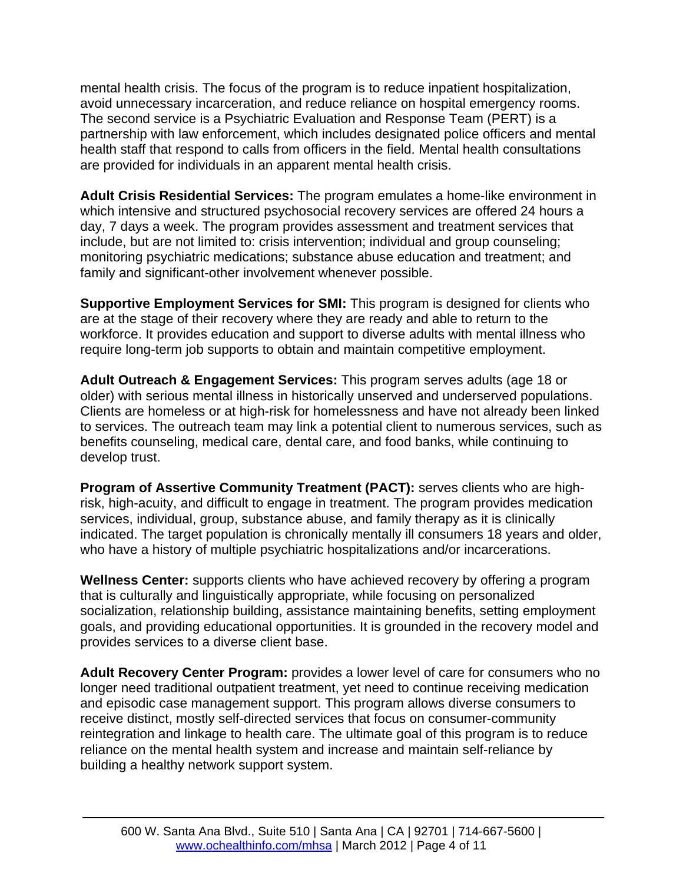mental health crisis. The focus of the program is to reduce inpatient hospitalization, avoid unnecessary incarceration, and reduce reliance on hospital emergency rooms. The second service is a Psychiatric Evaluation and Response Team (PERT) is a partnership with law enforcement, which includes designated police officers and mental health staff that respond to calls from officers in the field. Mental health consultations are provided for individuals in an apparent mental health crisis.

**Adult Crisis Residential Services:** The program emulates a home-like environment in which intensive and structured psychosocial recovery services are offered 24 hours a day, 7 days a week. The program provides assessment and treatment services that include, but are not limited to: crisis intervention; individual and group counseling; monitoring psychiatric medications; substance abuse education and treatment; and family and significant-other involvement whenever possible.

**Supportive Employment Services for SMI:** This program is designed for clients who are at the stage of their recovery where they are ready and able to return to the workforce. It provides education and support to diverse adults with mental illness who require long-term job supports to obtain and maintain competitive employment.

**Adult Outreach & Engagement Services:** This program serves adults (age 18 or older) with serious mental illness in historically unserved and underserved populations. Clients are homeless or at high-risk for homelessness and have not already been linked to services. The outreach team may link a potential client to numerous services, such as benefits counseling, medical care, dental care, and food banks, while continuing to develop trust.

**Program of Assertive Community Treatment (PACT):** serves clients who are highrisk, high-acuity, and difficult to engage in treatment. The program provides medication services, individual, group, substance abuse, and family therapy as it is clinically indicated. The target population is chronically mentally ill consumers 18 years and older, who have a history of multiple psychiatric hospitalizations and/or incarcerations.

**Wellness Center:** supports clients who have achieved recovery by offering a program that is culturally and linguistically appropriate, while focusing on personalized socialization, relationship building, assistance maintaining benefits, setting employment goals, and providing educational opportunities. It is grounded in the recovery model and provides services to a diverse client base.

**Adult Recovery Center Program:** provides a lower level of care for consumers who no longer need traditional outpatient treatment, yet need to continue receiving medication and episodic case management support. This program allows diverse consumers to receive distinct, mostly self-directed services that focus on consumer-community reintegration and linkage to health care. The ultimate goal of this program is to reduce reliance on the mental health system and increase and maintain self-reliance by building a healthy network support system.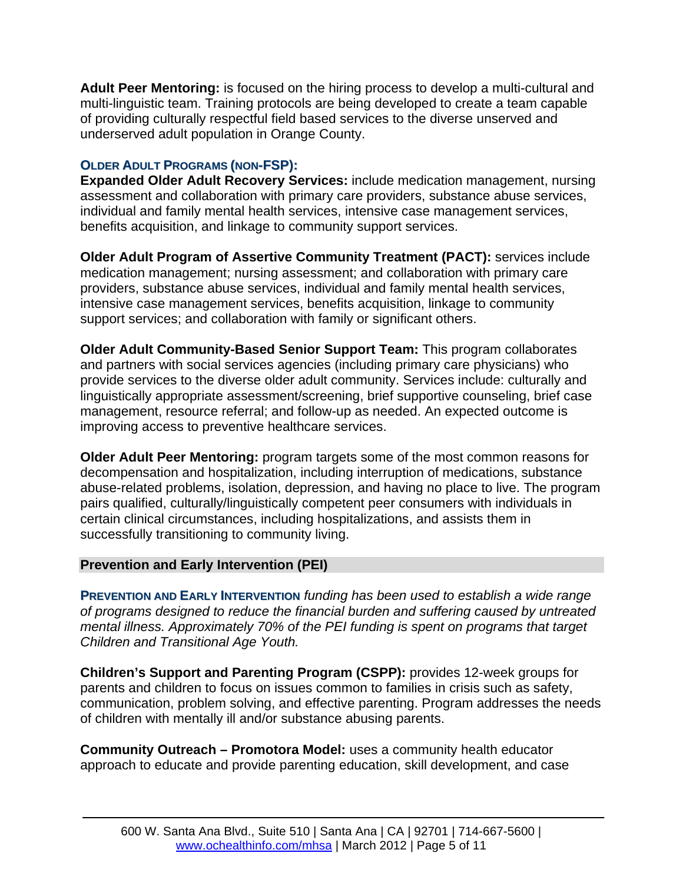**Adult Peer Mentoring:** is focused on the hiring process to develop a multi-cultural and multi-linguistic team. Training protocols are being developed to create a team capable of providing culturally respectful field based services to the diverse unserved and underserved adult population in Orange County.

## **OLDER ADULT PROGRAMS (NON-FSP):**

**Expanded Older Adult Recovery Services:** include medication management, nursing assessment and collaboration with primary care providers, substance abuse services, individual and family mental health services, intensive case management services, benefits acquisition, and linkage to community support services.

**Older Adult Program of Assertive Community Treatment (PACT):** services include medication management; nursing assessment; and collaboration with primary care providers, substance abuse services, individual and family mental health services, intensive case management services, benefits acquisition, linkage to community support services; and collaboration with family or significant others.

**Older Adult Community-Based Senior Support Team:** This program collaborates and partners with social services agencies (including primary care physicians) who provide services to the diverse older adult community. Services include: culturally and linguistically appropriate assessment/screening, brief supportive counseling, brief case management, resource referral; and follow-up as needed. An expected outcome is improving access to preventive healthcare services.

**Older Adult Peer Mentoring:** program targets some of the most common reasons for decompensation and hospitalization, including interruption of medications, substance abuse-related problems, isolation, depression, and having no place to live. The program pairs qualified, culturally/linguistically competent peer consumers with individuals in certain clinical circumstances, including hospitalizations, and assists them in successfully transitioning to community living.

## **Prevention and Early Intervention (PEI)**

**PREVENTION AND EARLY INTERVENTION** *funding has been used to establish a wide range of programs designed to reduce the financial burden and suffering caused by untreated mental illness. Approximately 70% of the PEI funding is spent on programs that target Children and Transitional Age Youth.*

**Children's Support and Parenting Program (CSPP):** provides 12-week groups for parents and children to focus on issues common to families in crisis such as safety, communication, problem solving, and effective parenting. Program addresses the needs of children with mentally ill and/or substance abusing parents.

**Community Outreach – Promotora Model:** uses a community health educator approach to educate and provide parenting education, skill development, and case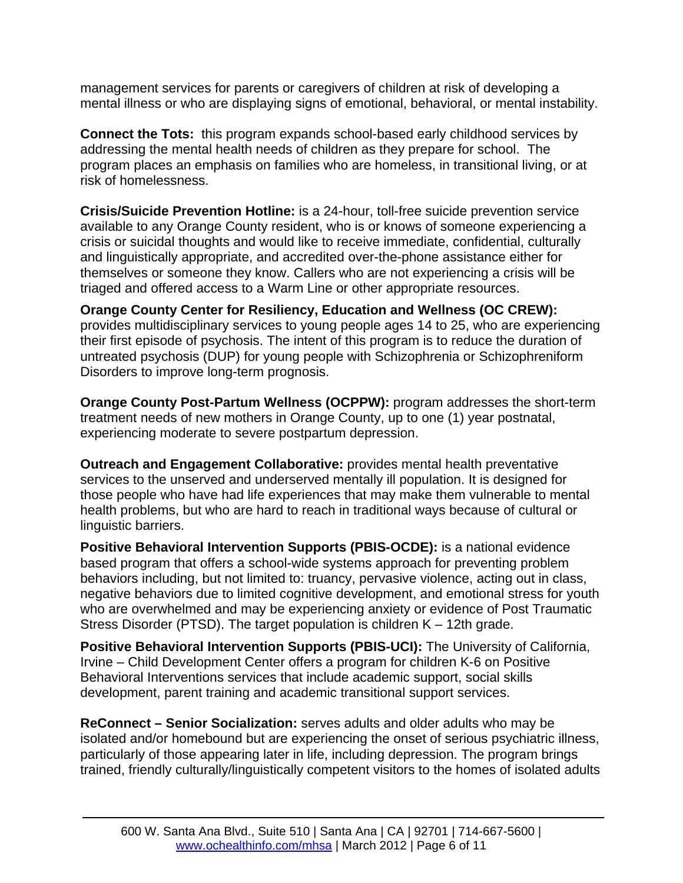management services for parents or caregivers of children at risk of developing a mental illness or who are displaying signs of emotional, behavioral, or mental instability.

**Connect the Tots:** this program expands school-based early childhood services by addressing the mental health needs of children as they prepare for school. The program places an emphasis on families who are homeless, in transitional living, or at risk of homelessness.

**Crisis/Suicide Prevention Hotline:** is a 24-hour, toll-free suicide prevention service available to any Orange County resident, who is or knows of someone experiencing a crisis or suicidal thoughts and would like to receive immediate, confidential, culturally and linguistically appropriate, and accredited over-the-phone assistance either for themselves or someone they know. Callers who are not experiencing a crisis will be triaged and offered access to a Warm Line or other appropriate resources.

**Orange County Center for Resiliency, Education and Wellness (OC CREW):**  provides multidisciplinary services to young people ages 14 to 25, who are experiencing their first episode of psychosis. The intent of this program is to reduce the duration of untreated psychosis (DUP) for young people with Schizophrenia or Schizophreniform Disorders to improve long-term prognosis.

**Orange County Post-Partum Wellness (OCPPW):** program addresses the short-term treatment needs of new mothers in Orange County, up to one (1) year postnatal, experiencing moderate to severe postpartum depression.

**Outreach and Engagement Collaborative:** provides mental health preventative services to the unserved and underserved mentally ill population. It is designed for those people who have had life experiences that may make them vulnerable to mental health problems, but who are hard to reach in traditional ways because of cultural or linguistic barriers.

**Positive Behavioral Intervention Supports (PBIS-OCDE):** is a national evidence based program that offers a school-wide systems approach for preventing problem behaviors including, but not limited to: truancy, pervasive violence, acting out in class, negative behaviors due to limited cognitive development, and emotional stress for youth who are overwhelmed and may be experiencing anxiety or evidence of Post Traumatic Stress Disorder (PTSD). The target population is children K – 12th grade.

**Positive Behavioral Intervention Supports (PBIS-UCI):** The University of California, Irvine – Child Development Center offers a program for children K-6 on Positive Behavioral Interventions services that include academic support, social skills development, parent training and academic transitional support services.

**ReConnect – Senior Socialization:** serves adults and older adults who may be isolated and/or homebound but are experiencing the onset of serious psychiatric illness, particularly of those appearing later in life, including depression. The program brings trained, friendly culturally/linguistically competent visitors to the homes of isolated adults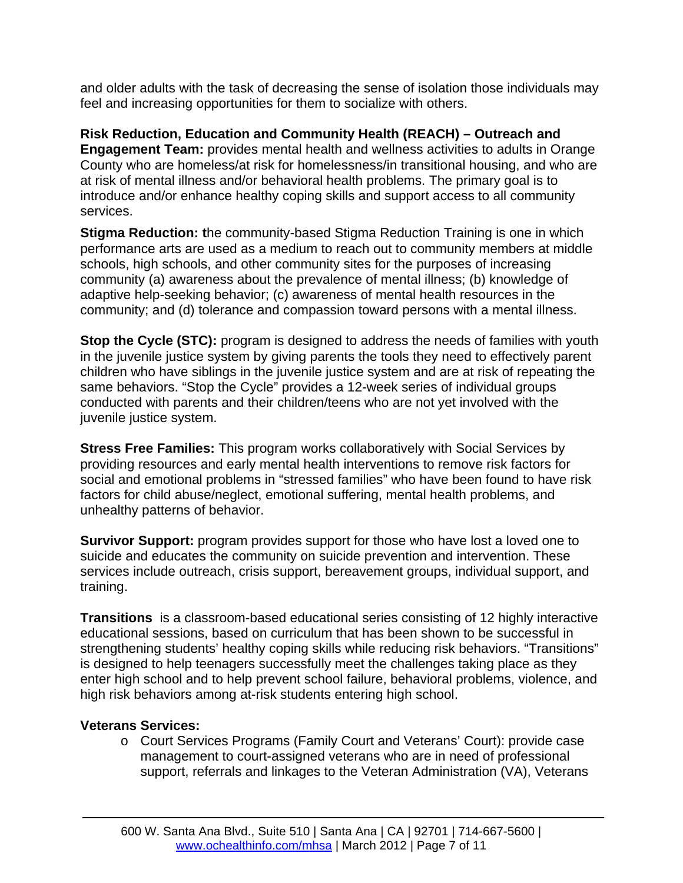and older adults with the task of decreasing the sense of isolation those individuals may feel and increasing opportunities for them to socialize with others.

**Risk Reduction, Education and Community Health (REACH) – Outreach and Engagement Team:** provides mental health and wellness activities to adults in Orange County who are homeless/at risk for homelessness/in transitional housing, and who are at risk of mental illness and/or behavioral health problems. The primary goal is to introduce and/or enhance healthy coping skills and support access to all community services.

**Stigma Reduction: t**he community-based Stigma Reduction Training is one in which performance arts are used as a medium to reach out to community members at middle schools, high schools, and other community sites for the purposes of increasing community (a) awareness about the prevalence of mental illness; (b) knowledge of adaptive help-seeking behavior; (c) awareness of mental health resources in the community; and (d) tolerance and compassion toward persons with a mental illness.

**Stop the Cycle (STC):** program is designed to address the needs of families with youth in the juvenile justice system by giving parents the tools they need to effectively parent children who have siblings in the juvenile justice system and are at risk of repeating the same behaviors. "Stop the Cycle" provides a 12-week series of individual groups conducted with parents and their children/teens who are not yet involved with the juvenile justice system.

**Stress Free Families:** This program works collaboratively with Social Services by providing resources and early mental health interventions to remove risk factors for social and emotional problems in "stressed families" who have been found to have risk factors for child abuse/neglect, emotional suffering, mental health problems, and unhealthy patterns of behavior.

**Survivor Support:** program provides support for those who have lost a loved one to suicide and educates the community on suicide prevention and intervention. These services include outreach, crisis support, bereavement groups, individual support, and training.

**Transitions** is a classroom-based educational series consisting of 12 highly interactive educational sessions, based on curriculum that has been shown to be successful in strengthening students' healthy coping skills while reducing risk behaviors. "Transitions" is designed to help teenagers successfully meet the challenges taking place as they enter high school and to help prevent school failure, behavioral problems, violence, and high risk behaviors among at-risk students entering high school.

#### **Veterans Services:**

o Court Services Programs (Family Court and Veterans' Court): provide case management to court-assigned veterans who are in need of professional support, referrals and linkages to the Veteran Administration (VA), Veterans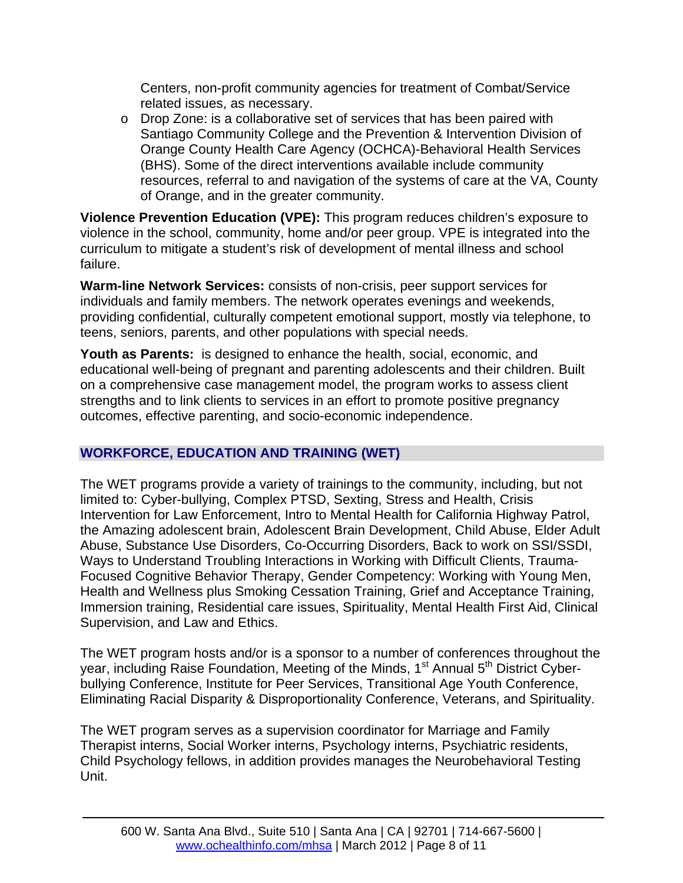Centers, non-profit community agencies for treatment of Combat/Service related issues, as necessary.

o Drop Zone: is a collaborative set of services that has been paired with Santiago Community College and the Prevention & Intervention Division of Orange County Health Care Agency (OCHCA)-Behavioral Health Services (BHS). Some of the direct interventions available include community resources, referral to and navigation of the systems of care at the VA, County of Orange, and in the greater community.

**Violence Prevention Education (VPE):** This program reduces children's exposure to violence in the school, community, home and/or peer group. VPE is integrated into the curriculum to mitigate a student's risk of development of mental illness and school failure.

**Warm-line Network Services:** consists of non-crisis, peer support services for individuals and family members. The network operates evenings and weekends, providing confidential, culturally competent emotional support, mostly via telephone, to teens, seniors, parents, and other populations with special needs.

**Youth as Parents:** is designed to enhance the health, social, economic, and educational well-being of pregnant and parenting adolescents and their children. Built on a comprehensive case management model, the program works to assess client strengths and to link clients to services in an effort to promote positive pregnancy outcomes, effective parenting, and socio-economic independence.

## **WORKFORCE, EDUCATION AND TRAINING (WET)**

The WET programs provide a variety of trainings to the community, including, but not limited to: Cyber-bullying, Complex PTSD, Sexting, Stress and Health, Crisis Intervention for Law Enforcement, Intro to Mental Health for California Highway Patrol, the Amazing adolescent brain, Adolescent Brain Development, Child Abuse, Elder Adult Abuse, Substance Use Disorders, Co-Occurring Disorders, Back to work on SSI/SSDI, Ways to Understand Troubling Interactions in Working with Difficult Clients, Trauma-Focused Cognitive Behavior Therapy, Gender Competency: Working with Young Men, Health and Wellness plus Smoking Cessation Training, Grief and Acceptance Training, Immersion training, Residential care issues, Spirituality, Mental Health First Aid, Clinical Supervision, and Law and Ethics.

The WET program hosts and/or is a sponsor to a number of conferences throughout the year, including Raise Foundation, Meeting of the Minds, 1<sup>st</sup> Annual 5<sup>th</sup> District Cyberbullying Conference, Institute for Peer Services, Transitional Age Youth Conference, Eliminating Racial Disparity & Disproportionality Conference, Veterans, and Spirituality.

The WET program serves as a supervision coordinator for Marriage and Family Therapist interns, Social Worker interns, Psychology interns, Psychiatric residents, Child Psychology fellows, in addition provides manages the Neurobehavioral Testing Unit.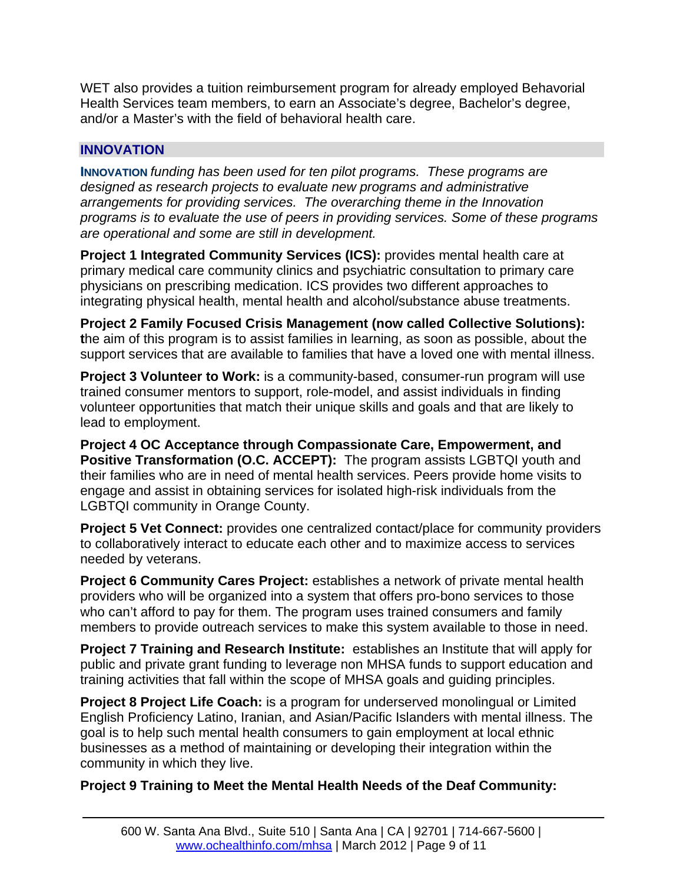WET also provides a tuition reimbursement program for already employed Behavorial Health Services team members, to earn an Associate's degree, Bachelor's degree, and/or a Master's with the field of behavioral health care.

## **INNOVATION**

**INNOVATION** *funding has been used for ten pilot programs. These programs are designed as research projects to evaluate new programs and administrative arrangements for providing services. The overarching theme in the Innovation programs is to evaluate the use of peers in providing services. Some of these programs are operational and some are still in development.*

**Project 1 Integrated Community Services (ICS):** provides mental health care at primary medical care community clinics and psychiatric consultation to primary care physicians on prescribing medication. ICS provides two different approaches to integrating physical health, mental health and alcohol/substance abuse treatments.

**Project 2 Family Focused Crisis Management (now called Collective Solutions): t**he aim of this program is to assist families in learning, as soon as possible, about the support services that are available to families that have a loved one with mental illness.

**Project 3 Volunteer to Work:** is a community-based, consumer-run program will use trained consumer mentors to support, role-model, and assist individuals in finding volunteer opportunities that match their unique skills and goals and that are likely to lead to employment.

**Project 4 OC Acceptance through Compassionate Care, Empowerment, and Positive Transformation (O.C. ACCEPT):** The program assists LGBTQI youth and their families who are in need of mental health services. Peers provide home visits to engage and assist in obtaining services for isolated high-risk individuals from the LGBTQI community in Orange County.

**Project 5 Vet Connect:** provides one centralized contact/place for community providers to collaboratively interact to educate each other and to maximize access to services needed by veterans.

**Project 6 Community Cares Project:** establishes a network of private mental health providers who will be organized into a system that offers pro-bono services to those who can't afford to pay for them. The program uses trained consumers and family members to provide outreach services to make this system available to those in need.

**Project 7 Training and Research Institute:** establishes an Institute that will apply for public and private grant funding to leverage non MHSA funds to support education and training activities that fall within the scope of MHSA goals and guiding principles.

**Project 8 Project Life Coach:** is a program for underserved monolingual or Limited English Proficiency Latino, Iranian, and Asian/Pacific Islanders with mental illness. The goal is to help such mental health consumers to gain employment at local ethnic businesses as a method of maintaining or developing their integration within the community in which they live.

#### **Project 9 Training to Meet the Mental Health Needs of the Deaf Community:**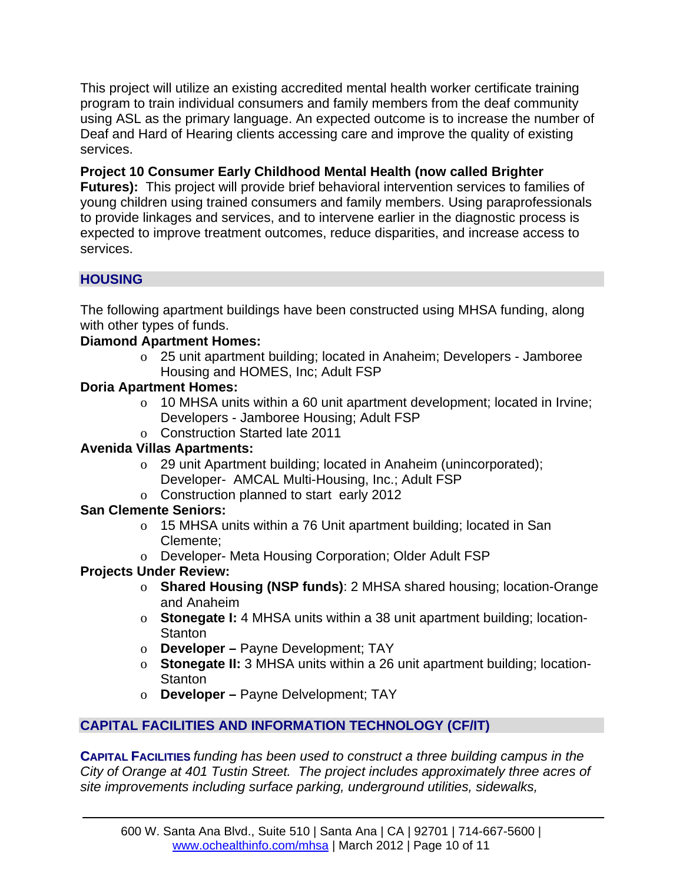This project will utilize an existing accredited mental health worker certificate training program to train individual consumers and family members from the deaf community using ASL as the primary language. An expected outcome is to increase the number of Deaf and Hard of Hearing clients accessing care and improve the quality of existing services.

## **Project 10 Consumer Early Childhood Mental Health (now called Brighter**

**Futures):** This project will provide brief behavioral intervention services to families of young children using trained consumers and family members. Using paraprofessionals to provide linkages and services, and to intervene earlier in the diagnostic process is expected to improve treatment outcomes, reduce disparities, and increase access to services.

## **HOUSING**

The following apartment buildings have been constructed using MHSA funding, along with other types of funds.

### **Diamond Apartment Homes:**

o 25 unit apartment building; located in Anaheim; Developers - Jamboree Housing and HOMES, Inc; Adult FSP

### **Doria Apartment Homes:**

- o 10 MHSA units within a 60 unit apartment development; located in Irvine; Developers - Jamboree Housing; Adult FSP
- o Construction Started late 2011

## **Avenida Villas Apartments:**

- o 29 unit Apartment building; located in Anaheim (unincorporated); Developer- AMCAL Multi-Housing, Inc.; Adult FSP
- o Construction planned to start early 2012

## **San Clemente Seniors:**

- o 15 MHSA units within a 76 Unit apartment building; located in San Clemente;
- o Developer- Meta Housing Corporation; Older Adult FSP

## **Projects Under Review:**

- o **Shared Housing (NSP funds)**: 2 MHSA shared housing; location-Orange and Anaheim
- o **Stonegate I:** 4 MHSA units within a 38 unit apartment building; location-**Stanton**
- o **Developer –** Payne Development; TAY
- o **Stonegate II:** 3 MHSA units within a 26 unit apartment building; location-**Stanton**
- o **Developer –** Payne Delvelopment; TAY

# **CAPITAL FACILITIES AND INFORMATION TECHNOLOGY (CF/IT)**

**CAPITAL FACILITIES** *funding has been used to construct a three building campus in the City of Orange at 401 Tustin Street. The project includes approximately three acres of site improvements including surface parking, underground utilities, sidewalks,*